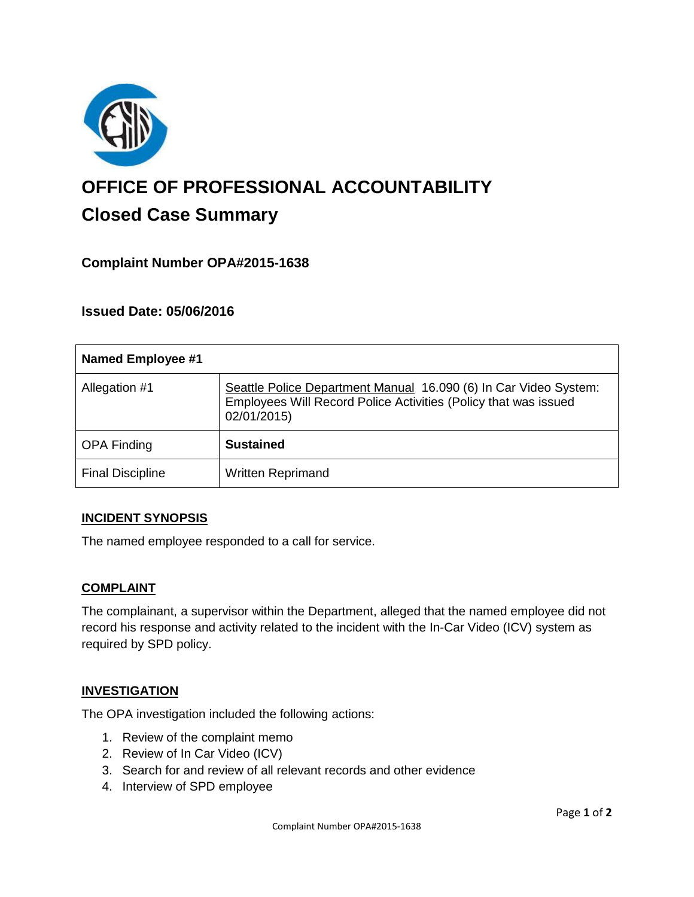

# **OFFICE OF PROFESSIONAL ACCOUNTABILITY Closed Case Summary**

## **Complaint Number OPA#2015-1638**

## **Issued Date: 05/06/2016**

| <b>Named Employee #1</b> |                                                                                                                                                    |
|--------------------------|----------------------------------------------------------------------------------------------------------------------------------------------------|
| Allegation #1            | Seattle Police Department Manual 16.090 (6) In Car Video System:<br>Employees Will Record Police Activities (Policy that was issued<br>02/01/2015) |
| <b>OPA Finding</b>       | <b>Sustained</b>                                                                                                                                   |
| <b>Final Discipline</b>  | <b>Written Reprimand</b>                                                                                                                           |

### **INCIDENT SYNOPSIS**

The named employee responded to a call for service.

### **COMPLAINT**

The complainant, a supervisor within the Department, alleged that the named employee did not record his response and activity related to the incident with the In-Car Video (ICV) system as required by SPD policy.

### **INVESTIGATION**

The OPA investigation included the following actions:

- 1. Review of the complaint memo
- 2. Review of In Car Video (ICV)
- 3. Search for and review of all relevant records and other evidence
- 4. Interview of SPD employee